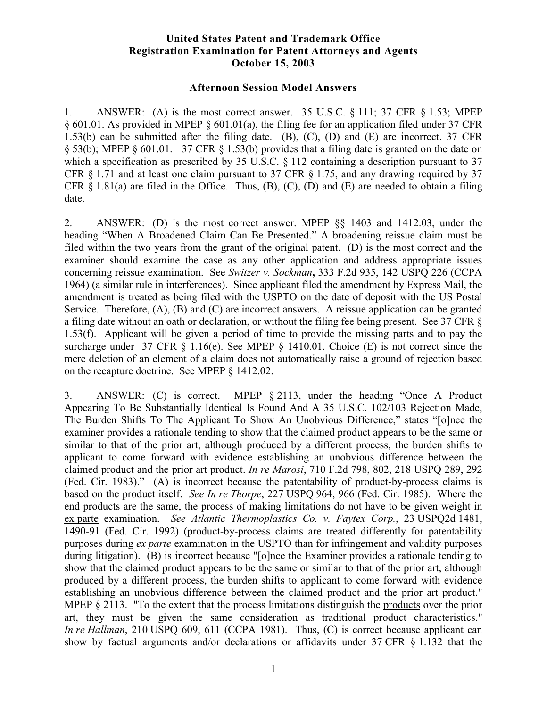## **United States Patent and Trademark Office Registration Examination for Patent Attorneys and Agents October 15, 2003**

## **Afternoon Session Model Answers**

1. ANSWER: (A) is the most correct answer. 35 U.S.C.  $\S$  111; 37 CFR  $\S$  1.53; MPEP § 601.01. As provided in MPEP § 601.01(a), the filing fee for an application filed under 37 CFR 1.53(b) can be submitted after the filing date. (B), (C), (D) and (E) are incorrect. 37 CFR § 53(b); MPEP § 601.01. 37 CFR § 1.53(b) provides that a filing date is granted on the date on which a specification as prescribed by 35 U.S.C. § 112 containing a description pursuant to 37 CFR § 1.71 and at least one claim pursuant to 37 CFR § 1.75, and any drawing required by 37 CFR  $\S$  1.81(a) are filed in the Office. Thus, (B), (C), (D) and (E) are needed to obtain a filing date.

2. ANSWER: (D) is the most correct answer. MPEP §§ 1403 and 1412.03, under the heading "When A Broadened Claim Can Be Presented." A broadening reissue claim must be filed within the two years from the grant of the original patent. (D) is the most correct and the examiner should examine the case as any other application and address appropriate issues concerning reissue examination. See *Switzer v. Sockman***,** 333 F.2d 935, 142 USPQ 226 (CCPA 1964) (a similar rule in interferences). Since applicant filed the amendment by Express Mail, the amendment is treated as being filed with the USPTO on the date of deposit with the US Postal Service. Therefore, (A), (B) and (C) are incorrect answers. A reissue application can be granted a filing date without an oath or declaration, or without the filing fee being present. See 37 CFR § 1.53(f). Applicant will be given a period of time to provide the missing parts and to pay the surcharge under 37 CFR  $\S$  1.16(e). See MPEP  $\S$  1410.01. Choice (E) is not correct since the mere deletion of an element of a claim does not automatically raise a ground of rejection based on the recapture doctrine. See MPEP § 1412.02.

3. ANSWER: (C) is correct. MPEP § 2113, under the heading "Once A Product Appearing To Be Substantially Identical Is Found And A 35 U.S.C. 102/103 Rejection Made, The Burden Shifts To The Applicant To Show An Unobvious Difference," states "[o]nce the examiner provides a rationale tending to show that the claimed product appears to be the same or similar to that of the prior art, although produced by a different process, the burden shifts to applicant to come forward with evidence establishing an unobvious difference between the claimed product and the prior art product. *In re Marosi*, 710 F.2d 798, 802, 218 USPQ 289, 292 (Fed. Cir. 1983)." (A) is incorrect because the patentability of product-by-process claims is based on the product itself. *See In re Thorpe*, 227 USPQ 964, 966 (Fed. Cir. 1985). Where the end products are the same, the process of making limitations do not have to be given weight in ex parte examination. *See Atlantic Thermoplastics Co. v. Faytex Corp.*, 23 USPQ2d 1481, 1490-91 (Fed. Cir. 1992) (product-by-process claims are treated differently for patentability purposes during *ex parte* examination in the USPTO than for infringement and validity purposes during litigation). (B) is incorrect because "[o]nce the Examiner provides a rationale tending to show that the claimed product appears to be the same or similar to that of the prior art, although produced by a different process, the burden shifts to applicant to come forward with evidence establishing an unobvious difference between the claimed product and the prior art product." MPEP § 2113. "To the extent that the process limitations distinguish the products over the prior art, they must be given the same consideration as traditional product characteristics." *In re Hallman*, 210 USPQ 609, 611 (CCPA 1981). Thus, (C) is correct because applicant can show by factual arguments and/or declarations or affidavits under 37 CFR § 1.132 that the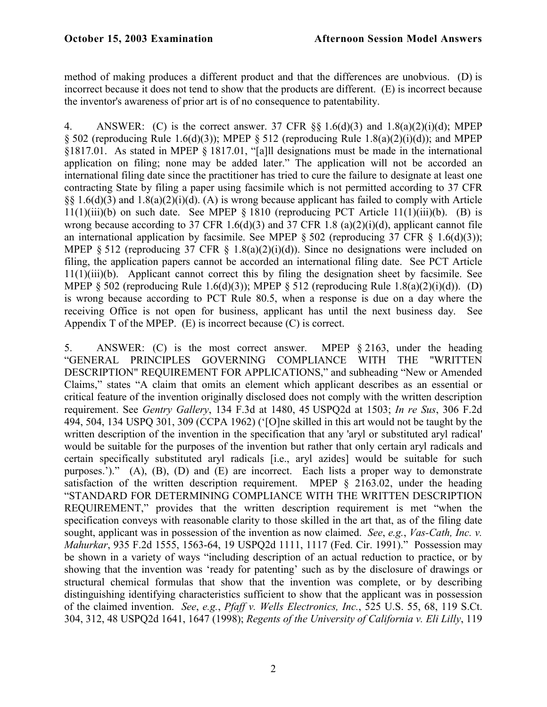method of making produces a different product and that the differences are unobvious. (D) is incorrect because it does not tend to show that the products are different. (E) is incorrect because the inventor's awareness of prior art is of no consequence to patentability.

4. ANSWER: (C) is the correct answer. 37 CFR  $\S$ § 1.6(d)(3) and 1.8(a)(2)(i)(d); MPEP  $\S$  502 (reproducing Rule 1.6(d)(3)); MPEP  $\S$  512 (reproducing Rule 1.8(a)(2)(i)(d)); and MPEP §1817.01. As stated in MPEP § 1817.01, "[a]ll designations must be made in the international application on filing; none may be added later." The application will not be accorded an international filing date since the practitioner has tried to cure the failure to designate at least one contracting State by filing a paper using facsimile which is not permitted according to 37 CFR  $\S$ § 1.6(d)(3) and 1.8(a)(2)(i)(d). (A) is wrong because applicant has failed to comply with Article 11(1)(iii)(b) on such date. See MPEP  $\S$  1810 (reproducing PCT Article 11(1)(iii)(b). (B) is wrong because according to 37 CFR 1.6(d)(3) and 37 CFR 1.8 (a)(2)(i)(d), applicant cannot file an international application by facsimile. See MPEP  $\S 502$  (reproducing 37 CFR  $\S 1.6(d)(3)$ ); MPEP § 512 (reproducing 37 CFR § 1.8(a)(2)(i)(d)). Since no designations were included on filing, the application papers cannot be accorded an international filing date. See PCT Article 11(1)(iii)(b). Applicant cannot correct this by filing the designation sheet by facsimile. See MPEP  $\S 502$  (reproducing Rule 1.6(d)(3)); MPEP  $\S 512$  (reproducing Rule 1.8(a)(2)(i)(d)). (D) is wrong because according to PCT Rule 80.5, when a response is due on a day where the receiving Office is not open for business, applicant has until the next business day. See Appendix T of the MPEP. (E) is incorrect because (C) is correct.

5. ANSWER: (C) is the most correct answer. MPEP § 2163, under the heading "GENERAL PRINCIPLES GOVERNING COMPLIANCE WITH THE "WRITTEN DESCRIPTION" REQUIREMENT FOR APPLICATIONS," and subheading "New or Amended Claims," states "A claim that omits an element which applicant describes as an essential or critical feature of the invention originally disclosed does not comply with the written description requirement. See *Gentry Gallery*, 134 F.3d at 1480, 45 USPQ2d at 1503; *In re Sus*, 306 F.2d 494, 504, 134 USPQ 301, 309 (CCPA 1962) ('[O]ne skilled in this art would not be taught by the written description of the invention in the specification that any 'aryl or substituted aryl radical' would be suitable for the purposes of the invention but rather that only certain aryl radicals and certain specifically substituted aryl radicals [i.e., aryl azides] would be suitable for such purposes.')." (A), (B), (D) and (E) are incorrect. Each lists a proper way to demonstrate satisfaction of the written description requirement. MPEP § 2163.02, under the heading "STANDARD FOR DETERMINING COMPLIANCE WITH THE WRITTEN DESCRIPTION REQUIREMENT," provides that the written description requirement is met "when the specification conveys with reasonable clarity to those skilled in the art that, as of the filing date sought, applicant was in possession of the invention as now claimed. *See, e.g., Vas-Cath, Inc. v. Mahurkar*, 935 F.2d 1555, 1563-64, 19 USPQ2d 1111, 1117 (Fed. Cir. 1991)." Possession may be shown in a variety of ways "including description of an actual reduction to practice, or by showing that the invention was 'ready for patenting' such as by the disclosure of drawings or structural chemical formulas that show that the invention was complete, or by describing distinguishing identifying characteristics sufficient to show that the applicant was in possession of the claimed invention. *See*, *e.g.*, *Pfaff v. Wells Electronics, Inc.*, 525 U.S. 55, 68, 119 S.Ct. 304, 312, 48 USPQ2d 1641, 1647 (1998); *Regents of the University of California v. Eli Lilly*, 119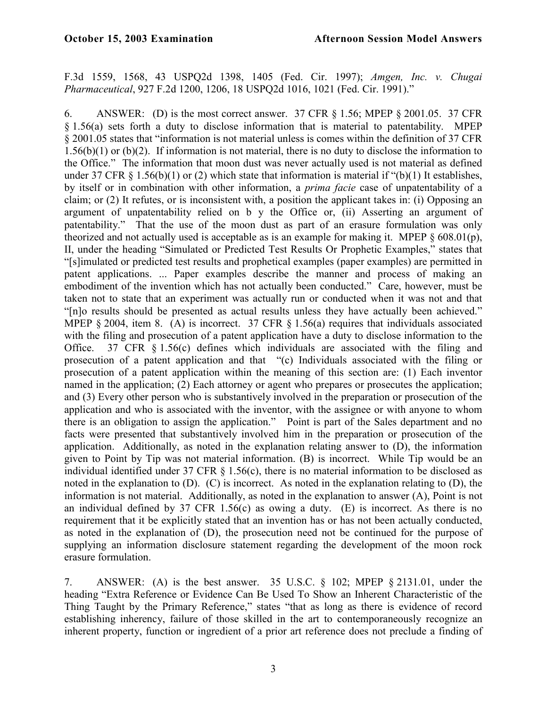F.3d 1559, 1568, 43 USPQ2d 1398, 1405 (Fed. Cir. 1997); *Amgen, Inc. v. Chugai Pharmaceutical*, 927 F.2d 1200, 1206, 18 USPQ2d 1016, 1021 (Fed. Cir. 1991)."

6. ANSWER: (D) is the most correct answer. 37 CFR § 1.56; MPEP § 2001.05. 37 CFR § 1.56(a) sets forth a duty to disclose information that is material to patentability. MPEP § 2001.05 states that "information is not material unless is comes within the definition of 37 CFR 1.56(b)(1) or (b)(2). If information is not material, there is no duty to disclose the information to the Office." The information that moon dust was never actually used is not material as defined under 37 CFR  $\S$  1.56(b)(1) or (2) which state that information is material if "(b)(1) It establishes, by itself or in combination with other information, a *prima facie* case of unpatentability of a claim; or (2) It refutes, or is inconsistent with, a position the applicant takes in: (i) Opposing an argument of unpatentability relied on b y the Office or, (ii) Asserting an argument of patentability." That the use of the moon dust as part of an erasure formulation was only theorized and not actually used is acceptable as is an example for making it. MPEP  $\S 608.01(p)$ , II, under the heading "Simulated or Predicted Test Results Or Prophetic Examples," states that "[s]imulated or predicted test results and prophetical examples (paper examples) are permitted in patent applications. ... Paper examples describe the manner and process of making an embodiment of the invention which has not actually been conducted." Care, however, must be taken not to state that an experiment was actually run or conducted when it was not and that "[n]o results should be presented as actual results unless they have actually been achieved." MPEP § 2004, item 8. (A) is incorrect. 37 CFR § 1.56(a) requires that individuals associated with the filing and prosecution of a patent application have a duty to disclose information to the Office. 37 CFR § 1.56(c) defines which individuals are associated with the filing and prosecution of a patent application and that "(c) Individuals associated with the filing or prosecution of a patent application within the meaning of this section are: (1) Each inventor named in the application; (2) Each attorney or agent who prepares or prosecutes the application; and (3) Every other person who is substantively involved in the preparation or prosecution of the application and who is associated with the inventor, with the assignee or with anyone to whom there is an obligation to assign the application." Point is part of the Sales department and no facts were presented that substantively involved him in the preparation or prosecution of the application. Additionally, as noted in the explanation relating answer to (D), the information given to Point by Tip was not material information. (B) is incorrect. While Tip would be an individual identified under 37 CFR § 1.56(c), there is no material information to be disclosed as noted in the explanation to (D). (C) is incorrect. As noted in the explanation relating to (D), the information is not material. Additionally, as noted in the explanation to answer (A), Point is not an individual defined by 37 CFR 1.56(c) as owing a duty. (E) is incorrect. As there is no requirement that it be explicitly stated that an invention has or has not been actually conducted, as noted in the explanation of (D), the prosecution need not be continued for the purpose of supplying an information disclosure statement regarding the development of the moon rock erasure formulation.

7. ANSWER: (A) is the best answer. 35 U.S.C. § 102; MPEP § 2131.01, under the heading "Extra Reference or Evidence Can Be Used To Show an Inherent Characteristic of the Thing Taught by the Primary Reference," states "that as long as there is evidence of record establishing inherency, failure of those skilled in the art to contemporaneously recognize an inherent property, function or ingredient of a prior art reference does not preclude a finding of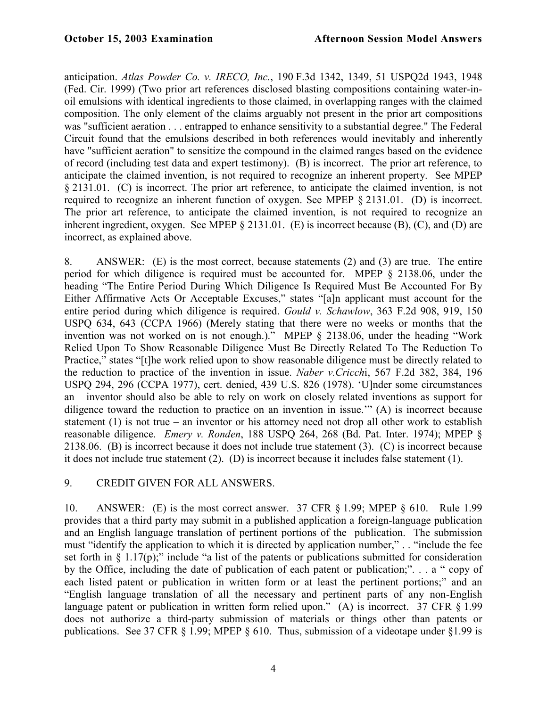anticipation. *Atlas Powder Co. v. IRECO, Inc.*, 190 F.3d 1342, 1349, 51 USPQ2d 1943, 1948 (Fed. Cir. 1999) (Two prior art references disclosed blasting compositions containing water-inoil emulsions with identical ingredients to those claimed, in overlapping ranges with the claimed composition. The only element of the claims arguably not present in the prior art compositions was "sufficient aeration . . . entrapped to enhance sensitivity to a substantial degree." The Federal Circuit found that the emulsions described in both references would inevitably and inherently have "sufficient aeration" to sensitize the compound in the claimed ranges based on the evidence of record (including test data and expert testimony). (B) is incorrect. The prior art reference, to anticipate the claimed invention, is not required to recognize an inherent property. See MPEP § 2131.01. (C) is incorrect. The prior art reference, to anticipate the claimed invention, is not required to recognize an inherent function of oxygen. See MPEP § 2131.01. (D) is incorrect. The prior art reference, to anticipate the claimed invention, is not required to recognize an inherent ingredient, oxygen. See MPEP  $\S$  2131.01. (E) is incorrect because (B), (C), and (D) are incorrect, as explained above.

8. ANSWER: (E) is the most correct, because statements (2) and (3) are true. The entire period for which diligence is required must be accounted for. MPEP § 2138.06, under the heading "The Entire Period During Which Diligence Is Required Must Be Accounted For By Either Affirmative Acts Or Acceptable Excuses," states "[a]n applicant must account for the entire period during which diligence is required. *Gould v. Schawlow*, 363 F.2d 908, 919, 150 USPQ 634, 643 (CCPA 1966) (Merely stating that there were no weeks or months that the invention was not worked on is not enough.)." MPEP § 2138.06, under the heading "Work Relied Upon To Show Reasonable Diligence Must Be Directly Related To The Reduction To Practice," states "[t]he work relied upon to show reasonable diligence must be directly related to the reduction to practice of the invention in issue. *Naber v.Cricch*i, 567 F.2d 382, 384, 196 USPQ 294, 296 (CCPA 1977), cert. denied, 439 U.S. 826 (1978). 'U]nder some circumstances an inventor should also be able to rely on work on closely related inventions as support for diligence toward the reduction to practice on an invention in issue.'" (A) is incorrect because statement  $(1)$  is not true – an inventor or his attorney need not drop all other work to establish reasonable diligence. *Emery v. Ronden*, 188 USPQ 264, 268 (Bd. Pat. Inter. 1974); MPEP § 2138.06. (B) is incorrect because it does not include true statement (3). (C) is incorrect because it does not include true statement (2). (D) is incorrect because it includes false statement (1).

## 9. CREDIT GIVEN FOR ALL ANSWERS.

10. ANSWER: (E) is the most correct answer. 37 CFR § 1.99; MPEP § 610. Rule 1.99 provides that a third party may submit in a published application a foreign-language publication and an English language translation of pertinent portions of the publication. The submission must "identify the application to which it is directed by application number," . . "include the fee set forth in  $\S 1.17(p)$ ;" include "a list of the patents or publications submitted for consideration by the Office, including the date of publication of each patent or publication;". . . a " copy of each listed patent or publication in written form or at least the pertinent portions;" and an "English language translation of all the necessary and pertinent parts of any non-English language patent or publication in written form relied upon." (A) is incorrect. 37 CFR § 1.99 does not authorize a third-party submission of materials or things other than patents or publications. See 37 CFR § 1.99; MPEP § 610. Thus, submission of a videotape under §1.99 is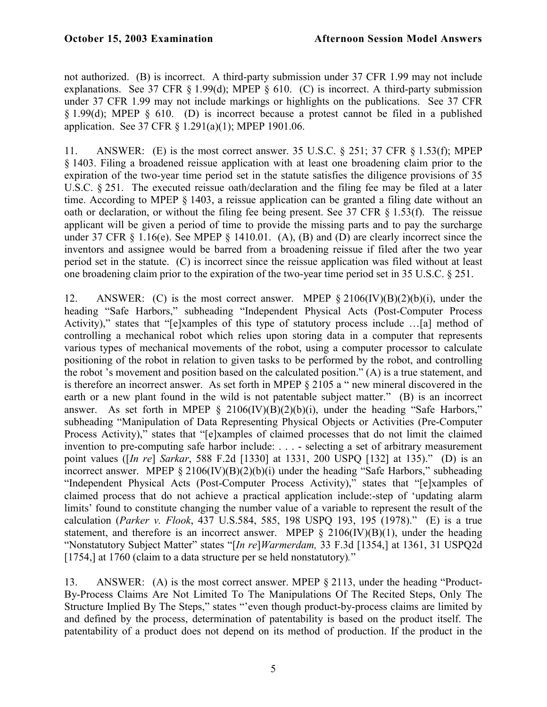not authorized. (B) is incorrect. A third-party submission under 37 CFR 1.99 may not include explanations. See 37 CFR § 1.99(d); MPEP § 610. (C) is incorrect. A third-party submission under 37 CFR 1.99 may not include markings or highlights on the publications. See 37 CFR § 1.99(d); MPEP § 610. (D) is incorrect because a protest cannot be filed in a published application. See 37 CFR § 1.291(a)(1); MPEP 1901.06.

11. ANSWER: (E) is the most correct answer. 35 U.S.C. § 251; 37 CFR § 1.53(f); MPEP § 1403. Filing a broadened reissue application with at least one broadening claim prior to the expiration of the two-year time period set in the statute satisfies the diligence provisions of 35 U.S.C. § 251. The executed reissue oath/declaration and the filing fee may be filed at a later time. According to MPEP § 1403, a reissue application can be granted a filing date without an oath or declaration, or without the filing fee being present. See 37 CFR § 1.53(f). The reissue applicant will be given a period of time to provide the missing parts and to pay the surcharge under 37 CFR § 1.16(e). See MPEP § 1410.01. (A), (B) and (D) are clearly incorrect since the inventors and assignee would be barred from a broadening reissue if filed after the two year period set in the statute. (C) is incorrect since the reissue application was filed without at least one broadening claim prior to the expiration of the two-year time period set in 35 U.S.C. § 251.

12. ANSWER: (C) is the most correct answer. MPEP § 2106(IV)(B)(2)(b)(i), under the heading "Safe Harbors," subheading "Independent Physical Acts (Post-Computer Process Activity)," states that "[e]xamples of this type of statutory process include …[a] method of controlling a mechanical robot which relies upon storing data in a computer that represents various types of mechanical movements of the robot, using a computer processor to calculate positioning of the robot in relation to given tasks to be performed by the robot, and controlling the robot 's movement and position based on the calculated position." (A) is a true statement, and is therefore an incorrect answer. As set forth in MPEP § 2105 a " new mineral discovered in the earth or a new plant found in the wild is not patentable subject matter." (B) is an incorrect answer. As set forth in MPEP  $\S$  2106(IV)(B)(2)(b)(i), under the heading "Safe Harbors," subheading "Manipulation of Data Representing Physical Objects or Activities (Pre-Computer Process Activity)," states that "[e]xamples of claimed processes that do not limit the claimed invention to pre-computing safe harbor include: . . . - selecting a set of arbitrary measurement point values ([*In re*] *Sarkar*, 588 F.2d [1330] at 1331, 200 USPQ [132] at 135)." (D) is an incorrect answer. MPEP § 2106(IV)(B)(2)(b)(i) under the heading "Safe Harbors," subheading "Independent Physical Acts (Post-Computer Process Activity)," states that "[e]xamples of claimed process that do not achieve a practical application include:-step of 'updating alarm limits' found to constitute changing the number value of a variable to represent the result of the calculation (*Parker v. Flook*, 437 U.S.584, 585, 198 USPQ 193, 195 (1978)." (E) is a true statement, and therefore is an incorrect answer. MPEP  $\S$  2106(IV)(B)(1), under the heading "Nonstatutory Subject Matter" states "[*In re*]*Warmerdam,* 33 F.3d [1354,] at 1361, 31 USPQ2d [1754,] at 1760 (claim to a data structure per se held nonstatutory)."

13. ANSWER: (A) is the most correct answer. MPEP § 2113, under the heading "Product-By-Process Claims Are Not Limited To The Manipulations Of The Recited Steps, Only The Structure Implied By The Steps," states "'even though product-by-process claims are limited by and defined by the process, determination of patentability is based on the product itself. The patentability of a product does not depend on its method of production. If the product in the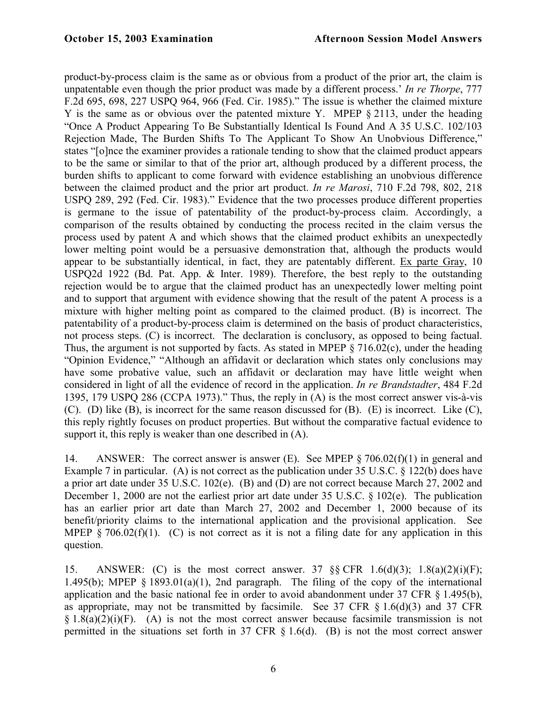product-by-process claim is the same as or obvious from a product of the prior art, the claim is unpatentable even though the prior product was made by a different process.' *In re Thorpe*, 777 F.2d 695, 698, 227 USPQ 964, 966 (Fed. Cir. 1985)." The issue is whether the claimed mixture Y is the same as or obvious over the patented mixture Y. MPEP § 2113, under the heading "Once A Product Appearing To Be Substantially Identical Is Found And A 35 U.S.C. 102/103 Rejection Made, The Burden Shifts To The Applicant To Show An Unobvious Difference," states "[o]nce the examiner provides a rationale tending to show that the claimed product appears to be the same or similar to that of the prior art, although produced by a different process, the burden shifts to applicant to come forward with evidence establishing an unobvious difference between the claimed product and the prior art product. *In re Marosi*, 710 F.2d 798, 802, 218 USPQ 289, 292 (Fed. Cir. 1983)." Evidence that the two processes produce different properties is germane to the issue of patentability of the product-by-process claim. Accordingly, a comparison of the results obtained by conducting the process recited in the claim versus the process used by patent A and which shows that the claimed product exhibits an unexpectedly lower melting point would be a persuasive demonstration that, although the products would appear to be substantially identical, in fact, they are patentably different. Ex parte Gray, 10 USPQ2d 1922 (Bd. Pat. App. & Inter. 1989). Therefore, the best reply to the outstanding rejection would be to argue that the claimed product has an unexpectedly lower melting point and to support that argument with evidence showing that the result of the patent A process is a mixture with higher melting point as compared to the claimed product. (B) is incorrect. The patentability of a product-by-process claim is determined on the basis of product characteristics, not process steps. (C) is incorrect. The declaration is conclusory, as opposed to being factual. Thus, the argument is not supported by facts. As stated in MPEP  $\S$  716.02(c), under the heading "Opinion Evidence," "Although an affidavit or declaration which states only conclusions may have some probative value, such an affidavit or declaration may have little weight when considered in light of all the evidence of record in the application. *In re Brandstadter*, 484 F.2d 1395, 179 USPQ 286 (CCPA 1973)." Thus, the reply in (A) is the most correct answer vis-à-vis (C). (D) like (B), is incorrect for the same reason discussed for (B). (E) is incorrect. Like (C), this reply rightly focuses on product properties. But without the comparative factual evidence to support it, this reply is weaker than one described in  $(A)$ .

14. ANSWER: The correct answer is answer (E). See MPEP § 706.02(f)(1) in general and Example 7 in particular. (A) is not correct as the publication under 35 U.S.C. § 122(b) does have a prior art date under 35 U.S.C. 102(e). (B) and (D) are not correct because March 27, 2002 and December 1, 2000 are not the earliest prior art date under 35 U.S.C. § 102(e). The publication has an earlier prior art date than March 27, 2002 and December 1, 2000 because of its benefit/priority claims to the international application and the provisional application. See MPEP  $\S$  706.02(f)(1). (C) is not correct as it is not a filing date for any application in this question.

15. ANSWER: (C) is the most correct answer. 37 §§ CFR 1.6(d)(3); 1.8(a)(2)(i)(F); 1.495(b); MPEP  $\frac{8}{1893.01(a)(1)}$ , 2nd paragraph. The filing of the copy of the international application and the basic national fee in order to avoid abandonment under 37 CFR § 1.495(b), as appropriate, may not be transmitted by facsimile. See 37 CFR § 1.6(d)(3) and 37 CFR  $§ 1.8(a)(2)(i)(F)$ . (A) is not the most correct answer because facsimile transmission is not permitted in the situations set forth in 37 CFR  $\S$  1.6(d). (B) is not the most correct answer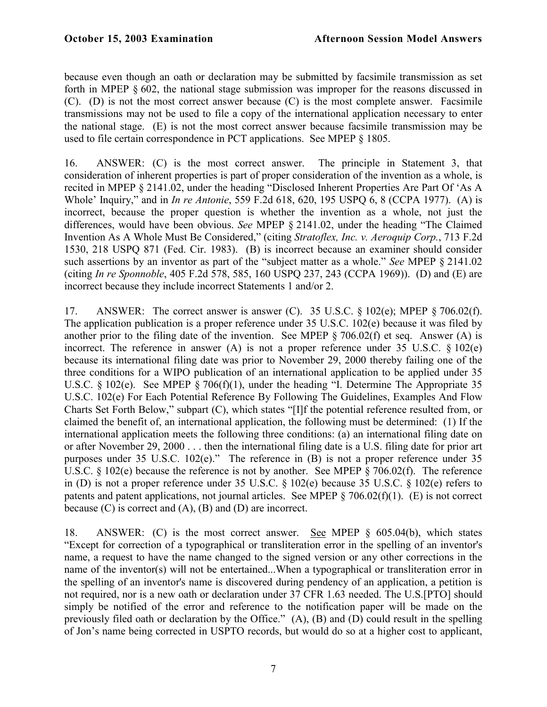because even though an oath or declaration may be submitted by facsimile transmission as set forth in MPEP § 602, the national stage submission was improper for the reasons discussed in (C). (D) is not the most correct answer because (C) is the most complete answer. Facsimile transmissions may not be used to file a copy of the international application necessary to enter the national stage. (E) is not the most correct answer because facsimile transmission may be used to file certain correspondence in PCT applications. See MPEP § 1805.

16. ANSWER: (C) is the most correct answer. The principle in Statement 3, that consideration of inherent properties is part of proper consideration of the invention as a whole, is recited in MPEP § 2141.02, under the heading "Disclosed Inherent Properties Are Part Of 'As A Whole' Inquiry," and in *In re Antonie*, 559 F.2d 618, 620, 195 USPQ 6, 8 (CCPA 1977). (A) is incorrect, because the proper question is whether the invention as a whole, not just the differences, would have been obvious. *See* MPEP § 2141.02, under the heading "The Claimed Invention As A Whole Must Be Considered," (citing *Stratoflex, Inc. v. Aeroquip Corp.*, 713 F.2d 1530, 218 USPQ 871 (Fed. Cir. 1983). (B) is incorrect because an examiner should consider such assertions by an inventor as part of the "subject matter as a whole." *See* MPEP § 2141.02 (citing *In re Sponnoble*, 405 F.2d 578, 585, 160 USPQ 237, 243 (CCPA 1969)). (D) and (E) are incorrect because they include incorrect Statements 1 and/or 2.

17. ANSWER: The correct answer is answer (C). 35 U.S.C. § 102(e); MPEP § 706.02(f). The application publication is a proper reference under 35 U.S.C. 102(e) because it was filed by another prior to the filing date of the invention. See MPEP  $\S 706.02(f)$  et seq. Answer (A) is incorrect. The reference in answer (A) is not a proper reference under 35 U.S.C.  $\S 102(e)$ because its international filing date was prior to November 29, 2000 thereby failing one of the three conditions for a WIPO publication of an international application to be applied under 35 U.S.C. § 102(e). See MPEP § 706(f)(1), under the heading "I. Determine The Appropriate 35 U.S.C. 102(e) For Each Potential Reference By Following The Guidelines, Examples And Flow Charts Set Forth Below," subpart (C), which states "[I]f the potential reference resulted from, or claimed the benefit of, an international application, the following must be determined: (1) If the international application meets the following three conditions: (a) an international filing date on or after November 29, 2000 . . . then the international filing date is a U.S. filing date for prior art purposes under 35 U.S.C. 102(e)." The reference in (B) is not a proper reference under 35 U.S.C. § 102(e) because the reference is not by another. See MPEP § 706.02(f). The reference in (D) is not a proper reference under 35 U.S.C. § 102(e) because 35 U.S.C. § 102(e) refers to patents and patent applications, not journal articles. See MPEP § 706.02(f)(1). (E) is not correct because  $(C)$  is correct and  $(A)$ ,  $(B)$  and  $(D)$  are incorrect.

18. ANSWER: (C) is the most correct answer. See MPEP § 605.04(b), which states "Except for correction of a typographical or transliteration error in the spelling of an inventor's name, a request to have the name changed to the signed version or any other corrections in the name of the inventor(s) will not be entertained...When a typographical or transliteration error in the spelling of an inventor's name is discovered during pendency of an application, a petition is not required, nor is a new oath or declaration under 37 CFR 1.63 needed. The U.S.[PTO] should simply be notified of the error and reference to the notification paper will be made on the previously filed oath or declaration by the Office." (A), (B) and (D) could result in the spelling of Jon's name being corrected in USPTO records, but would do so at a higher cost to applicant,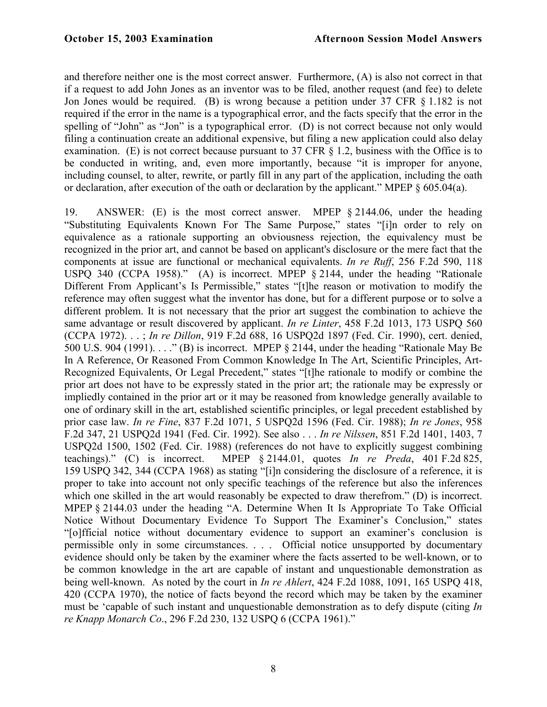and therefore neither one is the most correct answer. Furthermore, (A) is also not correct in that if a request to add John Jones as an inventor was to be filed, another request (and fee) to delete Jon Jones would be required. (B) is wrong because a petition under 37 CFR § 1.182 is not required if the error in the name is a typographical error, and the facts specify that the error in the spelling of "John" as "Jon" is a typographical error. (D) is not correct because not only would filing a continuation create an additional expensive, but filing a new application could also delay examination. (E) is not correct because pursuant to 37 CFR § 1.2, business with the Office is to be conducted in writing, and, even more importantly, because "it is improper for anyone, including counsel, to alter, rewrite, or partly fill in any part of the application, including the oath or declaration, after execution of the oath or declaration by the applicant." MPEP  $\S$  605.04(a).

19. ANSWER: (E) is the most correct answer. MPEP § 2144.06, under the heading "Substituting Equivalents Known For The Same Purpose," states "[i]n order to rely on equivalence as a rationale supporting an obviousness rejection, the equivalency must be recognized in the prior art, and cannot be based on applicant's disclosure or the mere fact that the components at issue are functional or mechanical equivalents. *In re Ruff*, 256 F.2d 590, 118 USPQ 340 (CCPA 1958)." (A) is incorrect. MPEP § 2144, under the heading "Rationale Different From Applicant's Is Permissible," states "[t]he reason or motivation to modify the reference may often suggest what the inventor has done, but for a different purpose or to solve a different problem. It is not necessary that the prior art suggest the combination to achieve the same advantage or result discovered by applicant. *In re Linter*, 458 F.2d 1013, 173 USPQ 560 (CCPA 1972). . . ; *In re Dillon*, 919 F.2d 688, 16 USPQ2d 1897 (Fed. Cir. 1990), cert. denied, 500 U.S. 904 (1991). . . ." (B) is incorrect. MPEP § 2144, under the heading "Rationale May Be In A Reference, Or Reasoned From Common Knowledge In The Art, Scientific Principles, Art-Recognized Equivalents, Or Legal Precedent," states "[t]he rationale to modify or combine the prior art does not have to be expressly stated in the prior art; the rationale may be expressly or impliedly contained in the prior art or it may be reasoned from knowledge generally available to one of ordinary skill in the art, established scientific principles, or legal precedent established by prior case law. *In re Fine*, 837 F.2d 1071, 5 USPQ2d 1596 (Fed. Cir. 1988); *In re Jones*, 958 F.2d 347, 21 USPQ2d 1941 (Fed. Cir. 1992). See also . . . *In re Nilssen*, 851 F.2d 1401, 1403, 7 USPQ2d 1500, 1502 (Fed. Cir. 1988) (references do not have to explicitly suggest combining teachings)." (C) is incorrect. MPEP § 2144.01, quotes *In re Preda*, 401 F.2d 825, 159 USPQ 342, 344 (CCPA 1968) as stating "[i]n considering the disclosure of a reference, it is proper to take into account not only specific teachings of the reference but also the inferences which one skilled in the art would reasonably be expected to draw therefrom." (D) is incorrect. MPEP § 2144.03 under the heading "A. Determine When It Is Appropriate To Take Official Notice Without Documentary Evidence To Support The Examiner's Conclusion," states "[o]fficial notice without documentary evidence to support an examiner's conclusion is permissible only in some circumstances. . . . Official notice unsupported by documentary evidence should only be taken by the examiner where the facts asserted to be well-known, or to be common knowledge in the art are capable of instant and unquestionable demonstration as being well-known. As noted by the court in *In re Ahlert*, 424 F.2d 1088, 1091, 165 USPQ 418, 420 (CCPA 1970), the notice of facts beyond the record which may be taken by the examiner must be 'capable of such instant and unquestionable demonstration as to defy dispute (citing *In re Knapp Monarch Co*., 296 F.2d 230, 132 USPQ 6 (CCPA 1961)."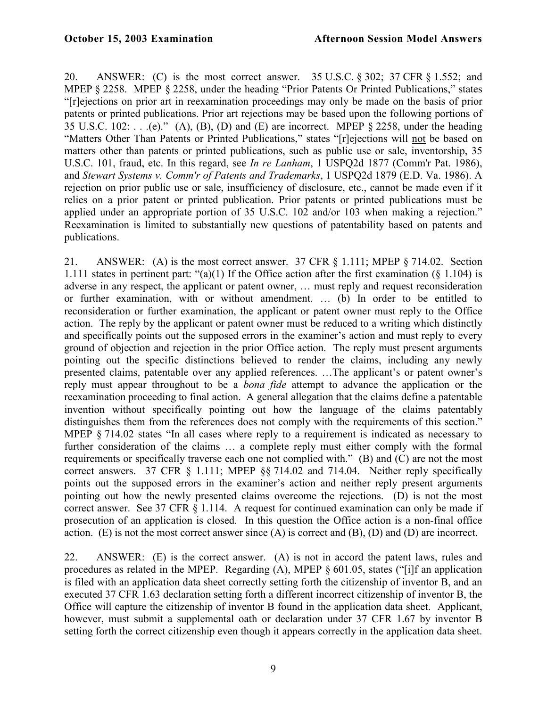20. ANSWER: (C) is the most correct answer. 35 U.S.C. § 302; 37 CFR § 1.552; and MPEP § 2258. MPEP § 2258, under the heading "Prior Patents Or Printed Publications," states "[r]ejections on prior art in reexamination proceedings may only be made on the basis of prior patents or printed publications. Prior art rejections may be based upon the following portions of 35 U.S.C. 102:  $\dots$  (e)." (A), (B), (D) and (E) are incorrect. MPEP § 2258, under the heading "Matters Other Than Patents or Printed Publications," states "[r]ejections will not be based on matters other than patents or printed publications, such as public use or sale, inventorship, 35 U.S.C. 101, fraud, etc. In this regard, see *In re Lanham*, 1 USPQ2d 1877 (Comm'r Pat. 1986), and *Stewart Systems v. Comm'r of Patents and Trademarks*, 1 USPQ2d 1879 (E.D. Va. 1986). A rejection on prior public use or sale, insufficiency of disclosure, etc., cannot be made even if it relies on a prior patent or printed publication. Prior patents or printed publications must be applied under an appropriate portion of 35 U.S.C. 102 and/or 103 when making a rejection." Reexamination is limited to substantially new questions of patentability based on patents and publications.

21. ANSWER: (A) is the most correct answer. 37 CFR § 1.111; MPEP § 714.02. Section 1.111 states in pertinent part: "(a)(1) If the Office action after the first examination (§ 1.104) is adverse in any respect, the applicant or patent owner, … must reply and request reconsideration or further examination, with or without amendment. … (b) In order to be entitled to reconsideration or further examination, the applicant or patent owner must reply to the Office action. The reply by the applicant or patent owner must be reduced to a writing which distinctly and specifically points out the supposed errors in the examiner's action and must reply to every ground of objection and rejection in the prior Office action. The reply must present arguments pointing out the specific distinctions believed to render the claims, including any newly presented claims, patentable over any applied references. …The applicant's or patent owner's reply must appear throughout to be a *bona fide* attempt to advance the application or the reexamination proceeding to final action. A general allegation that the claims define a patentable invention without specifically pointing out how the language of the claims patentably distinguishes them from the references does not comply with the requirements of this section." MPEP § 714.02 states "In all cases where reply to a requirement is indicated as necessary to further consideration of the claims … a complete reply must either comply with the formal requirements or specifically traverse each one not complied with." (B) and (C) are not the most correct answers. 37 CFR § 1.111; MPEP §§ 714.02 and 714.04. Neither reply specifically points out the supposed errors in the examiner's action and neither reply present arguments pointing out how the newly presented claims overcome the rejections. (D) is not the most correct answer. See 37 CFR § 1.114. A request for continued examination can only be made if prosecution of an application is closed. In this question the Office action is a non-final office action. (E) is not the most correct answer since (A) is correct and (B), (D) and (D) are incorrect.

22. ANSWER: (E) is the correct answer. (A) is not in accord the patent laws, rules and procedures as related in the MPEP. Regarding  $(A)$ , MPEP  $\S$  601.05, states ("[i]f an application is filed with an application data sheet correctly setting forth the citizenship of inventor B, and an executed 37 CFR 1.63 declaration setting forth a different incorrect citizenship of inventor B, the Office will capture the citizenship of inventor B found in the application data sheet. Applicant, however, must submit a supplemental oath or declaration under 37 CFR 1.67 by inventor B setting forth the correct citizenship even though it appears correctly in the application data sheet.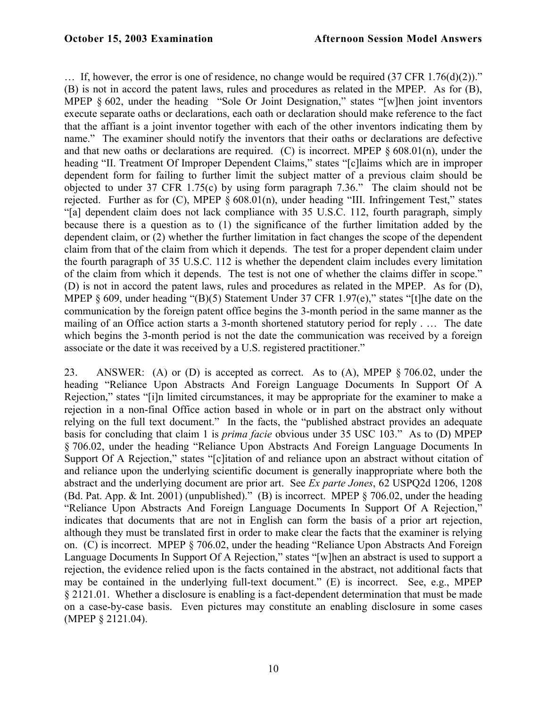… If, however, the error is one of residence, no change would be required (37 CFR 1.76(d)(2))." (B) is not in accord the patent laws, rules and procedures as related in the MPEP. As for (B), MPEP § 602, under the heading "Sole Or Joint Designation," states "[w]hen joint inventors execute separate oaths or declarations, each oath or declaration should make reference to the fact that the affiant is a joint inventor together with each of the other inventors indicating them by name." The examiner should notify the inventors that their oaths or declarations are defective and that new oaths or declarations are required. (C) is incorrect. MPEP  $\S 608.01(n)$ , under the heading "II. Treatment Of Improper Dependent Claims," states "[c]laims which are in improper dependent form for failing to further limit the subject matter of a previous claim should be objected to under 37 CFR 1.75(c) by using form paragraph 7.36." The claim should not be rejected. Further as for (C), MPEP § 608.01(n), under heading "III. Infringement Test," states "[a] dependent claim does not lack compliance with 35 U.S.C. 112, fourth paragraph, simply because there is a question as to (1) the significance of the further limitation added by the dependent claim, or (2) whether the further limitation in fact changes the scope of the dependent claim from that of the claim from which it depends. The test for a proper dependent claim under the fourth paragraph of 35 U.S.C. 112 is whether the dependent claim includes every limitation of the claim from which it depends. The test is not one of whether the claims differ in scope." (D) is not in accord the patent laws, rules and procedures as related in the MPEP. As for (D), MPEP § 609, under heading "(B)(5) Statement Under 37 CFR 1.97(e)," states "[t]he date on the communication by the foreign patent office begins the 3-month period in the same manner as the mailing of an Office action starts a 3-month shortened statutory period for reply . … The date which begins the 3-month period is not the date the communication was received by a foreign associate or the date it was received by a U.S. registered practitioner."

23. ANSWER: (A) or (D) is accepted as correct. As to (A), MPEP § 706.02, under the heading "Reliance Upon Abstracts And Foreign Language Documents In Support Of A Rejection," states "[i]n limited circumstances, it may be appropriate for the examiner to make a rejection in a non-final Office action based in whole or in part on the abstract only without relying on the full text document." In the facts, the "published abstract provides an adequate basis for concluding that claim 1 is *prima facie* obvious under 35 USC 103." As to (D) MPEP § 706.02, under the heading "Reliance Upon Abstracts And Foreign Language Documents In Support Of A Rejection," states "[c]itation of and reliance upon an abstract without citation of and reliance upon the underlying scientific document is generally inappropriate where both the abstract and the underlying document are prior art. See *Ex parte Jones*, 62 USPQ2d 1206, 1208 (Bd. Pat. App. & Int. 2001) (unpublished)." (B) is incorrect. MPEP § 706.02, under the heading "Reliance Upon Abstracts And Foreign Language Documents In Support Of A Rejection," indicates that documents that are not in English can form the basis of a prior art rejection, although they must be translated first in order to make clear the facts that the examiner is relying on. (C) is incorrect. MPEP § 706.02, under the heading "Reliance Upon Abstracts And Foreign Language Documents In Support Of A Rejection," states "[w]hen an abstract is used to support a rejection, the evidence relied upon is the facts contained in the abstract, not additional facts that may be contained in the underlying full-text document." (E) is incorrect. See, e.g., MPEP § 2121.01. Whether a disclosure is enabling is a fact-dependent determination that must be made on a case-by-case basis. Even pictures may constitute an enabling disclosure in some cases (MPEP § 2121.04).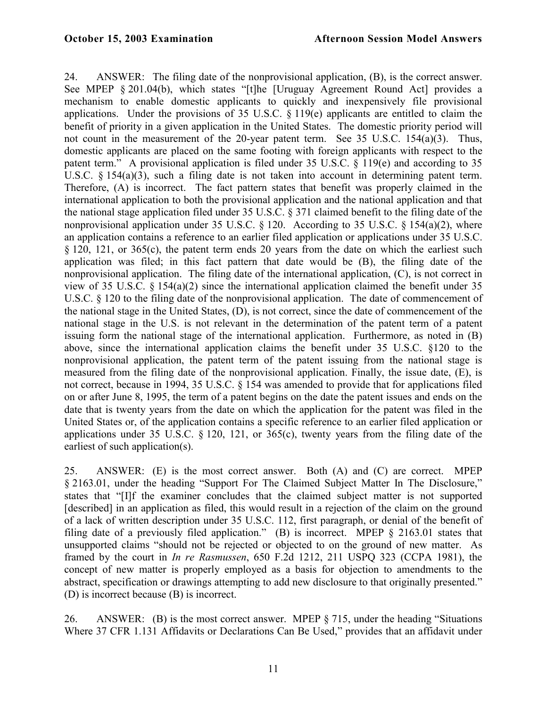24. ANSWER: The filing date of the nonprovisional application, (B), is the correct answer. See MPEP § 201.04(b), which states "[t]he [Uruguay Agreement Round Act] provides a mechanism to enable domestic applicants to quickly and inexpensively file provisional applications. Under the provisions of 35 U.S.C. § 119(e) applicants are entitled to claim the benefit of priority in a given application in the United States. The domestic priority period will not count in the measurement of the 20-year patent term. See 35 U.S.C. 154(a)(3). Thus, domestic applicants are placed on the same footing with foreign applicants with respect to the patent term." A provisional application is filed under 35 U.S.C. § 119(e) and according to 35 U.S.C. § 154(a)(3), such a filing date is not taken into account in determining patent term. Therefore, (A) is incorrect. The fact pattern states that benefit was properly claimed in the international application to both the provisional application and the national application and that the national stage application filed under 35 U.S.C. § 371 claimed benefit to the filing date of the nonprovisional application under 35 U.S.C.  $\S$  120. According to 35 U.S.C.  $\S$  154(a)(2), where an application contains a reference to an earlier filed application or applications under 35 U.S.C. § 120, 121, or 365(c), the patent term ends 20 years from the date on which the earliest such application was filed; in this fact pattern that date would be (B), the filing date of the nonprovisional application. The filing date of the international application, (C), is not correct in view of 35 U.S.C. § 154(a)(2) since the international application claimed the benefit under 35 U.S.C. § 120 to the filing date of the nonprovisional application. The date of commencement of the national stage in the United States, (D), is not correct, since the date of commencement of the national stage in the U.S. is not relevant in the determination of the patent term of a patent issuing form the national stage of the international application. Furthermore, as noted in (B) above, since the international application claims the benefit under 35 U.S.C. §120 to the nonprovisional application, the patent term of the patent issuing from the national stage is measured from the filing date of the nonprovisional application. Finally, the issue date, (E), is not correct, because in 1994, 35 U.S.C. § 154 was amended to provide that for applications filed on or after June 8, 1995, the term of a patent begins on the date the patent issues and ends on the date that is twenty years from the date on which the application for the patent was filed in the United States or, of the application contains a specific reference to an earlier filed application or applications under 35 U.S.C. § 120, 121, or 365(c), twenty years from the filing date of the earliest of such application(s).

25. ANSWER: (E) is the most correct answer. Both (A) and (C) are correct. MPEP § 2163.01, under the heading "Support For The Claimed Subject Matter In The Disclosure," states that "[I]f the examiner concludes that the claimed subject matter is not supported [described] in an application as filed, this would result in a rejection of the claim on the ground of a lack of written description under 35 U.S.C. 112, first paragraph, or denial of the benefit of filing date of a previously filed application." (B) is incorrect. MPEP § 2163.01 states that unsupported claims "should not be rejected or objected to on the ground of new matter. As framed by the court in *In re Rasmussen*, 650 F.2d 1212, 211 USPQ 323 (CCPA 1981), the concept of new matter is properly employed as a basis for objection to amendments to the abstract, specification or drawings attempting to add new disclosure to that originally presented." (D) is incorrect because (B) is incorrect.

26. ANSWER: (B) is the most correct answer. MPEP § 715, under the heading "Situations Where 37 CFR 1.131 Affidavits or Declarations Can Be Used," provides that an affidavit under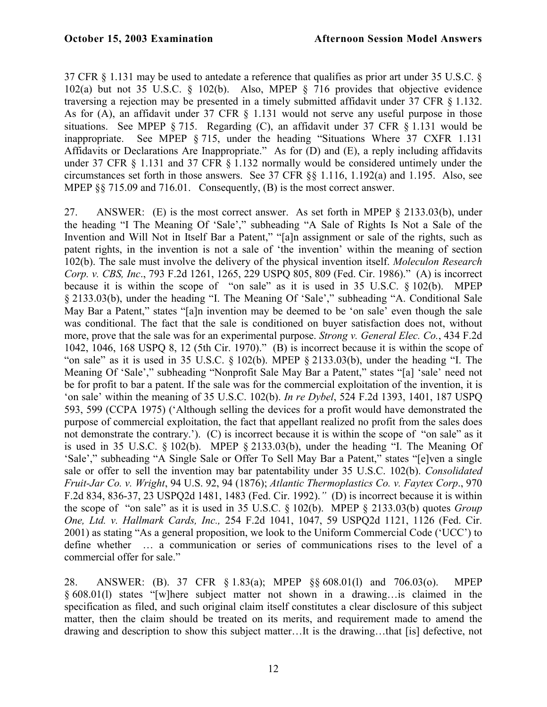37 CFR § 1.131 may be used to antedate a reference that qualifies as prior art under 35 U.S.C. § 102(a) but not 35 U.S.C. § 102(b). Also, MPEP § 716 provides that objective evidence traversing a rejection may be presented in a timely submitted affidavit under 37 CFR § 1.132. As for (A), an affidavit under 37 CFR § 1.131 would not serve any useful purpose in those situations. See MPEP § 715. Regarding (C), an affidavit under 37 CFR § 1.131 would be inappropriate. See MPEP § 715, under the heading "Situations Where 37 CXFR 1.131 Affidavits or Declarations Are Inappropriate." As for (D) and (E), a reply including affidavits under 37 CFR § 1.131 and 37 CFR § 1.132 normally would be considered untimely under the circumstances set forth in those answers. See 37 CFR §§ 1.116, 1.192(a) and 1.195. Also, see MPEP  $\S$  715.09 and 716.01. Consequently, (B) is the most correct answer.

27. ANSWER: (E) is the most correct answer. As set forth in MPEP § 2133.03(b), under the heading "I The Meaning Of 'Sale'," subheading "A Sale of Rights Is Not a Sale of the Invention and Will Not in Itself Bar a Patent," "[a]n assignment or sale of the rights, such as patent rights, in the invention is not a sale of 'the invention' within the meaning of section 102(b). The sale must involve the delivery of the physical invention itself. *Moleculon Research Corp. v. CBS, Inc*., 793 F.2d 1261, 1265, 229 USPQ 805, 809 (Fed. Cir. 1986)." (A) is incorrect because it is within the scope of "on sale" as it is used in 35 U.S.C. § 102(b). MPEP § 2133.03(b), under the heading "I. The Meaning Of 'Sale'," subheading "A. Conditional Sale May Bar a Patent," states "[a]n invention may be deemed to be 'on sale' even though the sale was conditional. The fact that the sale is conditioned on buyer satisfaction does not, without more, prove that the sale was for an experimental purpose. *Strong v. General Elec. Co.*, 434 F.2d 1042, 1046, 168 USPQ 8, 12 (5th Cir. 1970)." (B) is incorrect because it is within the scope of "on sale" as it is used in 35 U.S.C. § 102(b). MPEP § 2133.03(b), under the heading "I. The Meaning Of 'Sale'," subheading "Nonprofit Sale May Bar a Patent," states "[a] 'sale' need not be for profit to bar a patent. If the sale was for the commercial exploitation of the invention, it is 'on sale' within the meaning of 35 U.S.C. 102(b). *In re Dybel*, 524 F.2d 1393, 1401, 187 USPQ 593, 599 (CCPA 1975) ('Although selling the devices for a profit would have demonstrated the purpose of commercial exploitation, the fact that appellant realized no profit from the sales does not demonstrate the contrary.'). (C) is incorrect because it is within the scope of "on sale" as it is used in 35 U.S.C. § 102(b). MPEP § 2133.03(b), under the heading "I. The Meaning Of 'Sale'," subheading "A Single Sale or Offer To Sell May Bar a Patent," states "[e]ven a single sale or offer to sell the invention may bar patentability under 35 U.S.C. 102(b). *Consolidated Fruit-Jar Co. v. Wright*, 94 U.S. 92, 94 (1876); *Atlantic Thermoplastics Co. v. Faytex Corp*., 970 F.2d 834, 836-37, 23 USPQ2d 1481, 1483 (Fed. Cir. 1992).*"* (D) is incorrect because it is within the scope of "on sale" as it is used in 35 U.S.C. § 102(b). MPEP § 2133.03(b) quotes *Group One, Ltd. v. Hallmark Cards, Inc.,* 254 F.2d 1041, 1047, 59 USPQ2d 1121, 1126 (Fed. Cir. 2001) as stating "As a general proposition, we look to the Uniform Commercial Code ('UCC') to define whether … a communication or series of communications rises to the level of a commercial offer for sale."

28. ANSWER: (B). 37 CFR § 1.83(a); MPEP §§ 608.01(l) and 706.03(o). MPEP § 608.01(l) states "[w]here subject matter not shown in a drawing…is claimed in the specification as filed, and such original claim itself constitutes a clear disclosure of this subject matter, then the claim should be treated on its merits, and requirement made to amend the drawing and description to show this subject matter…It is the drawing…that [is] defective, not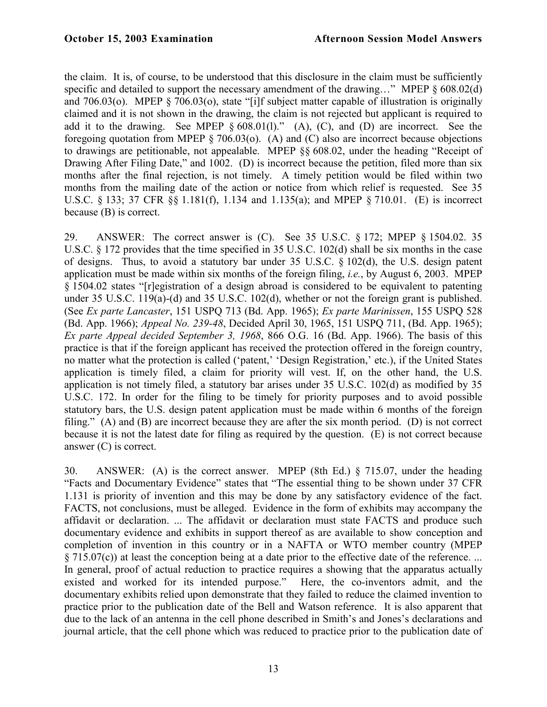the claim. It is, of course, to be understood that this disclosure in the claim must be sufficiently specific and detailed to support the necessary amendment of the drawing..." MPEP  $\S 608.02$ (d) and 706.03(o). MPEP § 706.03(o), state "[i]f subject matter capable of illustration is originally claimed and it is not shown in the drawing, the claim is not rejected but applicant is required to add it to the drawing. See MPEP  $\S 608.01(1)$ ." (A), (C), and (D) are incorrect. See the foregoing quotation from MPEP  $\S$  706.03(o). (A) and (C) also are incorrect because objections to drawings are petitionable, not appealable. MPEP §§ 608.02, under the heading "Receipt of Drawing After Filing Date," and 1002. (D) is incorrect because the petition, filed more than six months after the final rejection, is not timely. A timely petition would be filed within two months from the mailing date of the action or notice from which relief is requested. See 35 U.S.C. § 133; 37 CFR §§ 1.181(f), 1.134 and 1.135(a); and MPEP § 710.01. (E) is incorrect because (B) is correct.

29. ANSWER: The correct answer is (C). See 35 U.S.C. § 172; MPEP § 1504.02. 35 U.S.C. § 172 provides that the time specified in 35 U.S.C. 102(d) shall be six months in the case of designs. Thus, to avoid a statutory bar under 35 U.S.C. § 102(d), the U.S. design patent application must be made within six months of the foreign filing, *i.e.*, by August 6, 2003. MPEP § 1504.02 states "[r]egistration of a design abroad is considered to be equivalent to patenting under 35 U.S.C. 119(a)-(d) and 35 U.S.C. 102(d), whether or not the foreign grant is published. (See *Ex parte Lancaster*, 151 USPQ 713 (Bd. App. 1965); *Ex parte Marinissen*, 155 USPQ 528 (Bd. App. 1966); *Appeal No. 239-48*, Decided April 30, 1965, 151 USPQ 711, (Bd. App. 1965); *Ex parte Appeal decided September 3, 1968*, 866 O.G. 16 (Bd. App. 1966). The basis of this practice is that if the foreign applicant has received the protection offered in the foreign country, no matter what the protection is called ('patent,' 'Design Registration,' etc.), if the United States application is timely filed, a claim for priority will vest. If, on the other hand, the U.S. application is not timely filed, a statutory bar arises under 35 U.S.C. 102(d) as modified by 35 U.S.C. 172. In order for the filing to be timely for priority purposes and to avoid possible statutory bars, the U.S. design patent application must be made within 6 months of the foreign filing." (A) and (B) are incorrect because they are after the six month period. (D) is not correct because it is not the latest date for filing as required by the question. (E) is not correct because answer (C) is correct.

30. ANSWER: (A) is the correct answer. MPEP (8th Ed.) § 715.07, under the heading "Facts and Documentary Evidence" states that "The essential thing to be shown under 37 CFR 1.131 is priority of invention and this may be done by any satisfactory evidence of the fact. FACTS, not conclusions, must be alleged. Evidence in the form of exhibits may accompany the affidavit or declaration. ... The affidavit or declaration must state FACTS and produce such documentary evidence and exhibits in support thereof as are available to show conception and completion of invention in this country or in a NAFTA or WTO member country (MPEP § 715.07(c)) at least the conception being at a date prior to the effective date of the reference. ... In general, proof of actual reduction to practice requires a showing that the apparatus actually existed and worked for its intended purpose." Here, the co-inventors admit, and the documentary exhibits relied upon demonstrate that they failed to reduce the claimed invention to practice prior to the publication date of the Bell and Watson reference. It is also apparent that due to the lack of an antenna in the cell phone described in Smith's and Jones's declarations and journal article, that the cell phone which was reduced to practice prior to the publication date of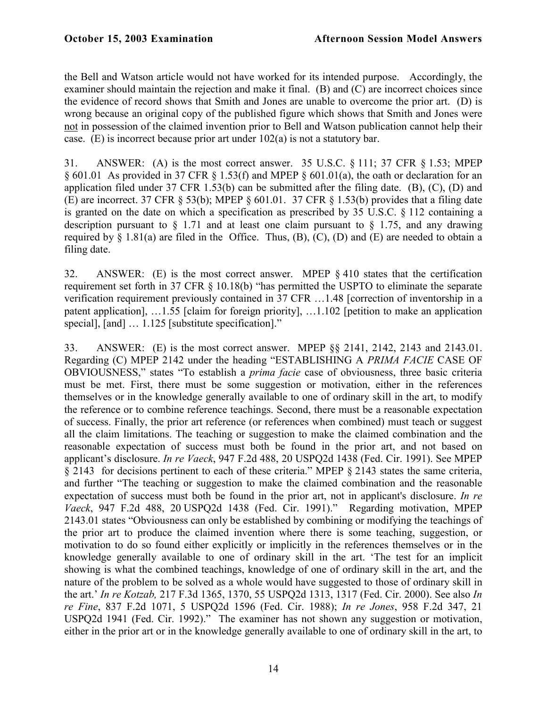the Bell and Watson article would not have worked for its intended purpose. Accordingly, the examiner should maintain the rejection and make it final. (B) and (C) are incorrect choices since the evidence of record shows that Smith and Jones are unable to overcome the prior art. (D) is wrong because an original copy of the published figure which shows that Smith and Jones were not in possession of the claimed invention prior to Bell and Watson publication cannot help their case. (E) is incorrect because prior art under 102(a) is not a statutory bar.

31. ANSWER: (A) is the most correct answer. 35 U.S.C. § 111; 37 CFR § 1.53; MPEP § 601.01 As provided in 37 CFR § 1.53(f) and MPEP § 601.01(a), the oath or declaration for an application filed under 37 CFR 1.53(b) can be submitted after the filing date. (B), (C), (D) and (E) are incorrect. 37 CFR § 53(b); MPEP § 601.01. 37 CFR § 1.53(b) provides that a filing date is granted on the date on which a specification as prescribed by 35 U.S.C. § 112 containing a description pursuant to  $\S$  1.71 and at least one claim pursuant to  $\S$  1.75, and any drawing required by  $\S$  1.81(a) are filed in the Office. Thus, (B), (C), (D) and (E) are needed to obtain a filing date.

32. ANSWER: (E) is the most correct answer. MPEP § 410 states that the certification requirement set forth in 37 CFR § 10.18(b) "has permitted the USPTO to eliminate the separate verification requirement previously contained in 37 CFR …1.48 [correction of inventorship in a patent application], …1.55 [claim for foreign priority], …1.102 [petition to make an application special], [and] ... 1.125 [substitute specification]."

33. ANSWER: (E) is the most correct answer. MPEP §§ 2141, 2142, 2143 and 2143.01. Regarding (C) MPEP 2142 under the heading "ESTABLISHING A *PRIMA FACIE* CASE OF OBVIOUSNESS," states "To establish a *prima facie* case of obviousness, three basic criteria must be met. First, there must be some suggestion or motivation, either in the references themselves or in the knowledge generally available to one of ordinary skill in the art, to modify the reference or to combine reference teachings. Second, there must be a reasonable expectation of success. Finally, the prior art reference (or references when combined) must teach or suggest all the claim limitations. The teaching or suggestion to make the claimed combination and the reasonable expectation of success must both be found in the prior art, and not based on applicant's disclosure. *In re Vaeck*, 947 F.2d 488, 20 USPQ2d 1438 (Fed. Cir. 1991). See MPEP § 2143 for decisions pertinent to each of these criteria." MPEP § 2143 states the same criteria, and further "The teaching or suggestion to make the claimed combination and the reasonable expectation of success must both be found in the prior art, not in applicant's disclosure. *In re Vaeck*, 947 F.2d 488, 20 USPQ2d 1438 (Fed. Cir. 1991)." Regarding motivation, MPEP 2143.01 states "Obviousness can only be established by combining or modifying the teachings of the prior art to produce the claimed invention where there is some teaching, suggestion, or motivation to do so found either explicitly or implicitly in the references themselves or in the knowledge generally available to one of ordinary skill in the art. 'The test for an implicit showing is what the combined teachings, knowledge of one of ordinary skill in the art, and the nature of the problem to be solved as a whole would have suggested to those of ordinary skill in the art.' *In re Kotzab,* 217 F.3d 1365, 1370, 55 USPQ2d 1313, 1317 (Fed. Cir. 2000). See also *In re Fine*, 837 F.2d 1071, 5 USPQ2d 1596 (Fed. Cir. 1988); *In re Jones*, 958 F.2d 347, 21 USPQ2d 1941 (Fed. Cir. 1992)." The examiner has not shown any suggestion or motivation, either in the prior art or in the knowledge generally available to one of ordinary skill in the art, to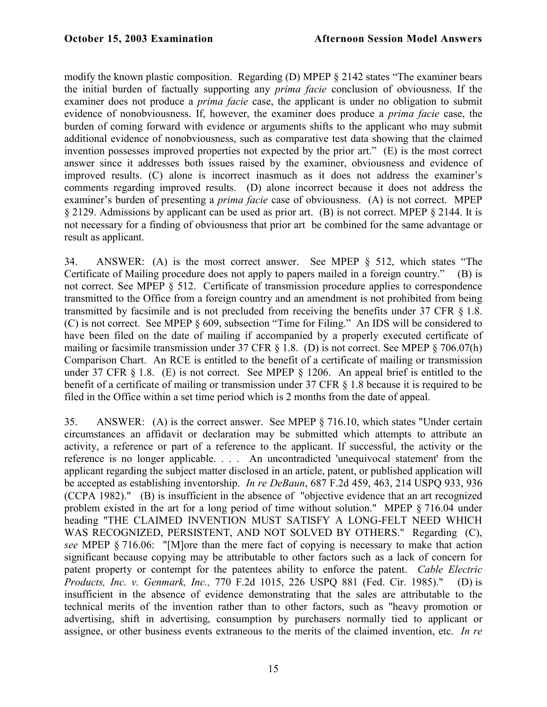modify the known plastic composition. Regarding (D) MPEP § 2142 states "The examiner bears the initial burden of factually supporting any *prima facie* conclusion of obviousness. If the examiner does not produce a *prima facie* case, the applicant is under no obligation to submit evidence of nonobviousness. If, however, the examiner does produce a *prima facie* case, the burden of coming forward with evidence or arguments shifts to the applicant who may submit additional evidence of nonobviousness, such as comparative test data showing that the claimed invention possesses improved properties not expected by the prior art." (E) is the most correct answer since it addresses both issues raised by the examiner, obviousness and evidence of improved results. (C) alone is incorrect inasmuch as it does not address the examiner's comments regarding improved results. (D) alone incorrect because it does not address the examiner's burden of presenting a *prima facie* case of obviousness. (A) is not correct. MPEP § 2129. Admissions by applicant can be used as prior art. (B) is not correct. MPEP § 2144. It is not necessary for a finding of obviousness that prior art be combined for the same advantage or result as applicant.

34. ANSWER: (A) is the most correct answer. See MPEP § 512, which states "The Certificate of Mailing procedure does not apply to papers mailed in a foreign country." (B) is not correct. See MPEP § 512. Certificate of transmission procedure applies to correspondence transmitted to the Office from a foreign country and an amendment is not prohibited from being transmitted by facsimile and is not precluded from receiving the benefits under 37 CFR § 1.8. (C) is not correct. See MPEP § 609, subsection "Time for Filing." An IDS will be considered to have been filed on the date of mailing if accompanied by a properly executed certificate of mailing or facsimile transmission under 37 CFR § 1.8. (D) is not correct. See MPEP § 706.07(h) Comparison Chart. An RCE is entitled to the benefit of a certificate of mailing or transmission under 37 CFR § 1.8. (E) is not correct. See MPEP § 1206. An appeal brief is entitled to the benefit of a certificate of mailing or transmission under 37 CFR § 1.8 because it is required to be filed in the Office within a set time period which is 2 months from the date of appeal.

35. ANSWER: (A) is the correct answer. See MPEP § 716.10, which states "Under certain circumstances an affidavit or declaration may be submitted which attempts to attribute an activity, a reference or part of a reference to the applicant. If successful, the activity or the reference is no longer applicable. . . . An uncontradicted 'unequivocal statement' from the applicant regarding the subject matter disclosed in an article, patent, or published application will be accepted as establishing inventorship. *In re DeBaun*, 687 F.2d 459, 463, 214 USPQ 933, 936 (CCPA 1982)." (B) is insufficient in the absence of "objective evidence that an art recognized problem existed in the art for a long period of time without solution." MPEP § 716.04 under heading "THE CLAIMED INVENTION MUST SATISFY A LONG-FELT NEED WHICH WAS RECOGNIZED, PERSISTENT, AND NOT SOLVED BY OTHERS." Regarding (C), *see* MPEP § 716.06: "[M]ore than the mere fact of copying is necessary to make that action significant because copying may be attributable to other factors such as a lack of concern for patent property or contempt for the patentees ability to enforce the patent. *Cable Electric Products, Inc. v. Genmark, Inc.,* 770 F.2d 1015, 226 USPQ 881 (Fed. Cir. 1985)." (D) is insufficient in the absence of evidence demonstrating that the sales are attributable to the technical merits of the invention rather than to other factors, such as "heavy promotion or advertising, shift in advertising, consumption by purchasers normally tied to applicant or assignee, or other business events extraneous to the merits of the claimed invention, etc. *In re*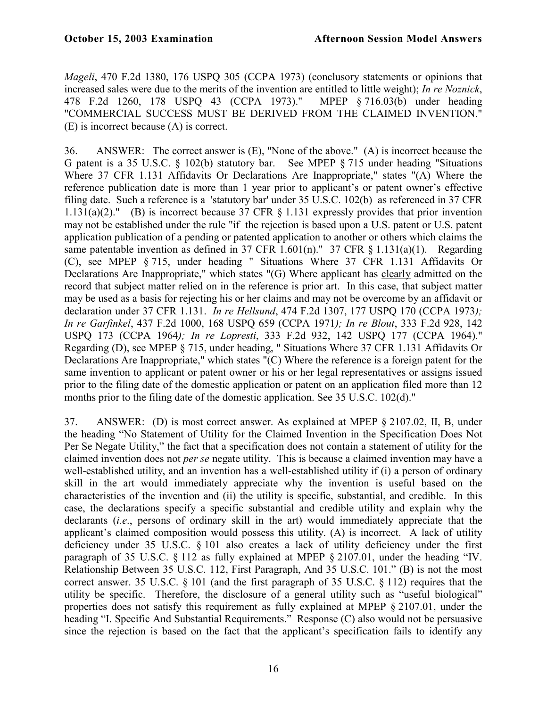*Mageli*, 470 F.2d 1380, 176 USPQ 305 (CCPA 1973) (conclusory statements or opinions that increased sales were due to the merits of the invention are entitled to little weight); *In re Noznick*, 478 F.2d 1260, 178 USPQ 43 (CCPA 1973)." MPEP § 716.03(b) under heading "COMMERCIAL SUCCESS MUST BE DERIVED FROM THE CLAIMED INVENTION." (E) is incorrect because (A) is correct.

36. ANSWER: The correct answer is (E), "None of the above." (A) is incorrect because the G patent is a 35 U.S.C. § 102(b) statutory bar. See MPEP § 715 under heading "Situations Where 37 CFR 1.131 Affidavits Or Declarations Are Inappropriate," states "(A) Where the reference publication date is more than 1 year prior to applicant's or patent owner's effective filing date. Such a reference is a 'statutory bar' under 35 U.S.C. 102(b) as referenced in 37 CFR 1.131(a)(2)." (B) is incorrect because 37 CFR § 1.131 expressly provides that prior invention may not be established under the rule "if the rejection is based upon a U.S. patent or U.S. patent application publication of a pending or patented application to another or others which claims the same patentable invention as defined in 37 CFR 1.601(n)." 37 CFR § 1.131(a)(1). Regarding (C), see MPEP § 715, under heading " Situations Where 37 CFR 1.131 Affidavits Or Declarations Are Inappropriate," which states "(G) Where applicant has clearly admitted on the record that subject matter relied on in the reference is prior art. In this case, that subject matter may be used as a basis for rejecting his or her claims and may not be overcome by an affidavit or declaration under 37 CFR 1.131. *In re Hellsund*, 474 F.2d 1307, 177 USPQ 170 (CCPA 1973*); In re Garfinkel*, 437 F.2d 1000, 168 USPQ 659 (CCPA 1971*); In re Blout*, 333 F.2d 928, 142 USPQ 173 (CCPA 1964*); In re Lopresti*, 333 F.2d 932, 142 USPQ 177 (CCPA 1964)." Regarding (D), see MPEP § 715, under heading, " Situations Where 37 CFR 1.131 Affidavits Or Declarations Are Inappropriate," which states "(C) Where the reference is a foreign patent for the same invention to applicant or patent owner or his or her legal representatives or assigns issued prior to the filing date of the domestic application or patent on an application filed more than 12 months prior to the filing date of the domestic application. See 35 U.S.C. 102(d)."

37. ANSWER: (D) is most correct answer. As explained at MPEP § 2107.02, II, B, under the heading "No Statement of Utility for the Claimed Invention in the Specification Does Not Per Se Negate Utility," the fact that a specification does not contain a statement of utility for the claimed invention does not *per se* negate utility. This is because a claimed invention may have a well-established utility, and an invention has a well-established utility if (i) a person of ordinary skill in the art would immediately appreciate why the invention is useful based on the characteristics of the invention and (ii) the utility is specific, substantial, and credible. In this case, the declarations specify a specific substantial and credible utility and explain why the declarants (*i.e*., persons of ordinary skill in the art) would immediately appreciate that the applicant's claimed composition would possess this utility. (A) is incorrect. A lack of utility deficiency under 35 U.S.C. § 101 also creates a lack of utility deficiency under the first paragraph of 35 U.S.C. § 112 as fully explained at MPEP § 2107.01, under the heading "IV. Relationship Between 35 U.S.C. 112, First Paragraph, And 35 U.S.C. 101." (B) is not the most correct answer. 35 U.S.C. § 101 (and the first paragraph of 35 U.S.C. § 112) requires that the utility be specific. Therefore, the disclosure of a general utility such as "useful biological" properties does not satisfy this requirement as fully explained at MPEP § 2107.01, under the heading "I. Specific And Substantial Requirements." Response (C) also would not be persuasive since the rejection is based on the fact that the applicant's specification fails to identify any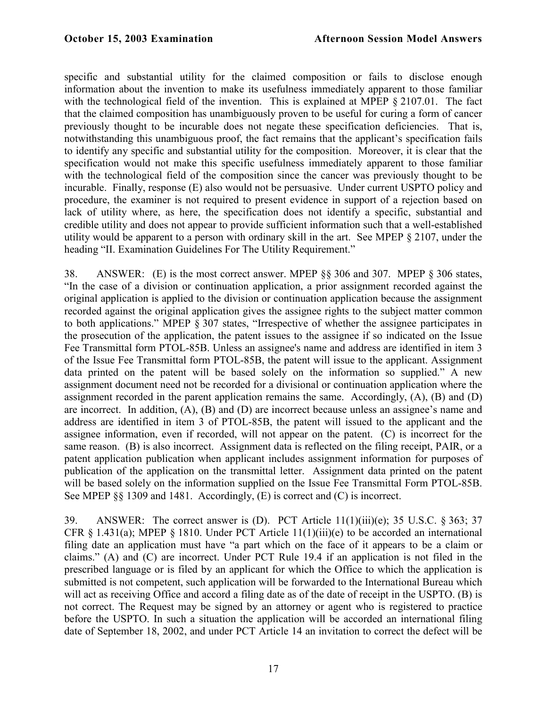specific and substantial utility for the claimed composition or fails to disclose enough information about the invention to make its usefulness immediately apparent to those familiar with the technological field of the invention. This is explained at MPEP § 2107.01. The fact that the claimed composition has unambiguously proven to be useful for curing a form of cancer previously thought to be incurable does not negate these specification deficiencies. That is, notwithstanding this unambiguous proof, the fact remains that the applicant's specification fails to identify any specific and substantial utility for the composition. Moreover, it is clear that the specification would not make this specific usefulness immediately apparent to those familiar with the technological field of the composition since the cancer was previously thought to be incurable. Finally, response (E) also would not be persuasive. Under current USPTO policy and procedure, the examiner is not required to present evidence in support of a rejection based on lack of utility where, as here, the specification does not identify a specific, substantial and credible utility and does not appear to provide sufficient information such that a well-established utility would be apparent to a person with ordinary skill in the art. See MPEP § 2107, under the heading "II. Examination Guidelines For The Utility Requirement."

38. ANSWER: (E) is the most correct answer. MPEP §§ 306 and 307. MPEP § 306 states, "In the case of a division or continuation application, a prior assignment recorded against the original application is applied to the division or continuation application because the assignment recorded against the original application gives the assignee rights to the subject matter common to both applications." MPEP § 307 states, "Irrespective of whether the assignee participates in the prosecution of the application, the patent issues to the assignee if so indicated on the Issue Fee Transmittal form PTOL-85B. Unless an assignee's name and address are identified in item 3 of the Issue Fee Transmittal form PTOL-85B, the patent will issue to the applicant. Assignment data printed on the patent will be based solely on the information so supplied." A new assignment document need not be recorded for a divisional or continuation application where the assignment recorded in the parent application remains the same. Accordingly, (A), (B) and (D) are incorrect. In addition, (A), (B) and (D) are incorrect because unless an assignee's name and address are identified in item 3 of PTOL-85B, the patent will issued to the applicant and the assignee information, even if recorded, will not appear on the patent. (C) is incorrect for the same reason. (B) is also incorrect. Assignment data is reflected on the filing receipt, PAIR, or a patent application publication when applicant includes assignment information for purposes of publication of the application on the transmittal letter. Assignment data printed on the patent will be based solely on the information supplied on the Issue Fee Transmittal Form PTOL-85B. See MPEP §§ 1309 and 1481. Accordingly, (E) is correct and (C) is incorrect.

39. ANSWER: The correct answer is (D). PCT Article 11(1)(iii)(e); 35 U.S.C. § 363; 37 CFR  $\S$  1.431(a); MPEP  $\S$  1810. Under PCT Article 11(1)(iii)(e) to be accorded an international filing date an application must have "a part which on the face of it appears to be a claim or claims." (A) and (C) are incorrect. Under PCT Rule 19.4 if an application is not filed in the prescribed language or is filed by an applicant for which the Office to which the application is submitted is not competent, such application will be forwarded to the International Bureau which will act as receiving Office and accord a filing date as of the date of receipt in the USPTO. (B) is not correct. The Request may be signed by an attorney or agent who is registered to practice before the USPTO. In such a situation the application will be accorded an international filing date of September 18, 2002, and under PCT Article 14 an invitation to correct the defect will be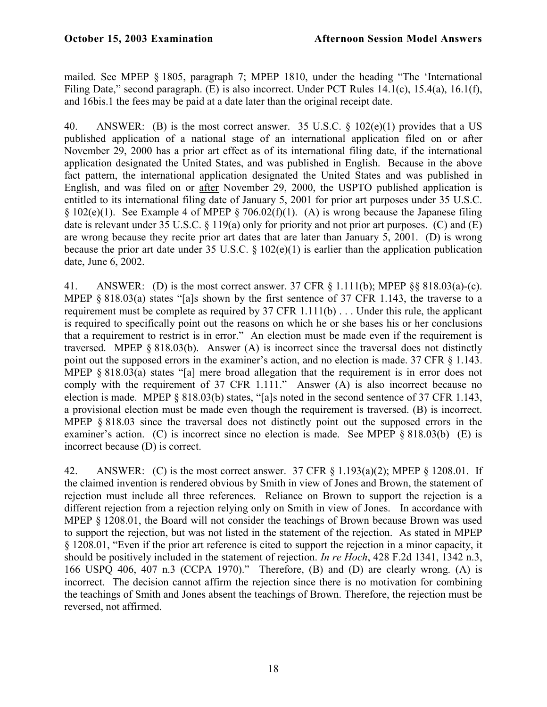mailed. See MPEP § 1805, paragraph 7; MPEP 1810, under the heading "The 'International Filing Date," second paragraph. (E) is also incorrect. Under PCT Rules 14.1(c), 15.4(a), 16.1(f), and 16bis.1 the fees may be paid at a date later than the original receipt date.

40. ANSWER: (B) is the most correct answer. 35 U.S.C. § 102(e)(1) provides that a US published application of a national stage of an international application filed on or after November 29, 2000 has a prior art effect as of its international filing date, if the international application designated the United States, and was published in English. Because in the above fact pattern, the international application designated the United States and was published in English, and was filed on or after November 29, 2000, the USPTO published application is entitled to its international filing date of January 5, 2001 for prior art purposes under 35 U.S.C.  $§ 102(e)(1)$ . See Example 4 of MPEP § 706.02(f)(1). (A) is wrong because the Japanese filing date is relevant under 35 U.S.C. § 119(a) only for priority and not prior art purposes. (C) and (E) are wrong because they recite prior art dates that are later than January 5, 2001. (D) is wrong because the prior art date under 35 U.S.C.  $\S 102(e)(1)$  is earlier than the application publication date, June 6, 2002.

41. ANSWER: (D) is the most correct answer. 37 CFR § 1.111(b); MPEP §§ 818.03(a)-(c). MPEP § 818.03(a) states "[a]s shown by the first sentence of 37 CFR 1.143, the traverse to a requirement must be complete as required by 37 CFR 1.111(b) . . . Under this rule, the applicant is required to specifically point out the reasons on which he or she bases his or her conclusions that a requirement to restrict is in error." An election must be made even if the requirement is traversed. MPEP  $\S$  818.03(b). Answer (A) is incorrect since the traversal does not distinctly point out the supposed errors in the examiner's action, and no election is made. 37 CFR § 1.143. MPEP § 818.03(a) states "[a] mere broad allegation that the requirement is in error does not comply with the requirement of 37 CFR 1.111." Answer (A) is also incorrect because no election is made. MPEP § 818.03(b) states, "[a]s noted in the second sentence of 37 CFR 1.143, a provisional election must be made even though the requirement is traversed. (B) is incorrect. MPEP § 818.03 since the traversal does not distinctly point out the supposed errors in the examiner's action. (C) is incorrect since no election is made. See MPEP § 818.03(b) (E) is incorrect because (D) is correct.

42. ANSWER: (C) is the most correct answer. 37 CFR § 1.193(a)(2); MPEP § 1208.01. If the claimed invention is rendered obvious by Smith in view of Jones and Brown, the statement of rejection must include all three references. Reliance on Brown to support the rejection is a different rejection from a rejection relying only on Smith in view of Jones. In accordance with MPEP § 1208.01, the Board will not consider the teachings of Brown because Brown was used to support the rejection, but was not listed in the statement of the rejection. As stated in MPEP § 1208.01, "Even if the prior art reference is cited to support the rejection in a minor capacity, it should be positively included in the statement of rejection. *In re Hoch*, 428 F.2d 1341, 1342 n.3, 166 USPQ 406, 407 n.3 (CCPA 1970)." Therefore, (B) and (D) are clearly wrong. (A) is incorrect. The decision cannot affirm the rejection since there is no motivation for combining the teachings of Smith and Jones absent the teachings of Brown. Therefore, the rejection must be reversed, not affirmed.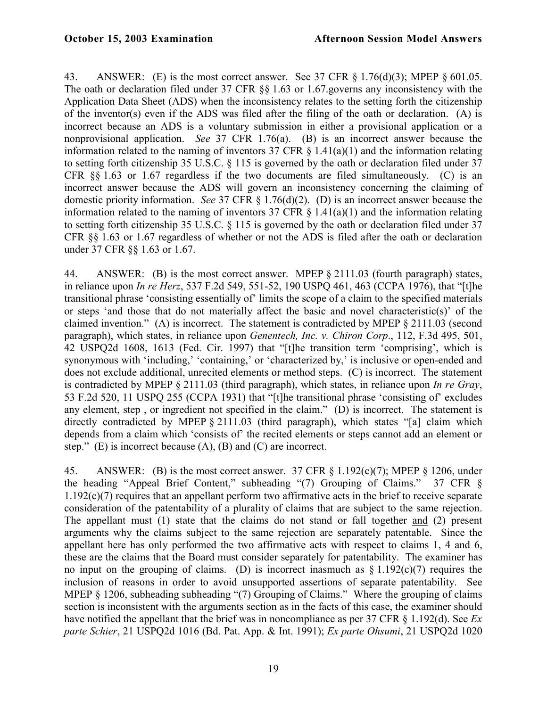43. ANSWER: (E) is the most correct answer. See 37 CFR § 1.76(d)(3); MPEP § 601.05. The oath or declaration filed under 37 CFR §§ 1.63 or 1.67.governs any inconsistency with the Application Data Sheet (ADS) when the inconsistency relates to the setting forth the citizenship of the inventor(s) even if the ADS was filed after the filing of the oath or declaration. (A) is incorrect because an ADS is a voluntary submission in either a provisional application or a nonprovisional application. *See* 37 CFR 1.76(a). (B) is an incorrect answer because the information related to the naming of inventors 37 CFR  $\S$  1.41(a)(1) and the information relating to setting forth citizenship 35 U.S.C. § 115 is governed by the oath or declaration filed under 37 CFR §§ 1.63 or 1.67 regardless if the two documents are filed simultaneously. (C) is an incorrect answer because the ADS will govern an inconsistency concerning the claiming of domestic priority information. *See* 37 CFR § 1.76(d)(2). (D) is an incorrect answer because the information related to the naming of inventors 37 CFR  $\S$  1.41(a)(1) and the information relating to setting forth citizenship 35 U.S.C. § 115 is governed by the oath or declaration filed under 37 CFR §§ 1.63 or 1.67 regardless of whether or not the ADS is filed after the oath or declaration under 37 CFR §§ 1.63 or 1.67.

44. ANSWER: (B) is the most correct answer. MPEP § 2111.03 (fourth paragraph) states, in reliance upon *In re Herz*, 537 F.2d 549, 551-52, 190 USPQ 461, 463 (CCPA 1976), that "[t]he transitional phrase 'consisting essentially of' limits the scope of a claim to the specified materials or steps 'and those that do not materially affect the basic and novel characteristic(s)' of the claimed invention." (A) is incorrect. The statement is contradicted by MPEP § 2111.03 (second paragraph), which states, in reliance upon *Genentech, Inc. v. Chiron Corp*., 112, F.3d 495, 501, 42 USPQ2d 1608, 1613 (Fed. Cir. 1997) that "[t]he transition term 'comprising', which is synonymous with 'including,' 'containing,' or 'characterized by,' is inclusive or open-ended and does not exclude additional, unrecited elements or method steps. (C) is incorrect. The statement is contradicted by MPEP § 2111.03 (third paragraph), which states, in reliance upon *In re Gray*, 53 F.2d 520, 11 USPQ 255 (CCPA 1931) that "[t]he transitional phrase 'consisting of' excludes any element, step , or ingredient not specified in the claim." (D) is incorrect. The statement is directly contradicted by MPEP § 2111.03 (third paragraph), which states "[a] claim which depends from a claim which 'consists of' the recited elements or steps cannot add an element or step."  $(E)$  is incorrect because  $(A)$ ,  $(B)$  and  $(C)$  are incorrect.

45. ANSWER: (B) is the most correct answer. 37 CFR § 1.192(c)(7); MPEP § 1206, under the heading "Appeal Brief Content," subheading "(7) Grouping of Claims." 37 CFR § 1.192(c)(7) requires that an appellant perform two affirmative acts in the brief to receive separate consideration of the patentability of a plurality of claims that are subject to the same rejection. The appellant must (1) state that the claims do not stand or fall together and (2) present arguments why the claims subject to the same rejection are separately patentable. Since the appellant here has only performed the two affirmative acts with respect to claims 1, 4 and 6, these are the claims that the Board must consider separately for patentability. The examiner has no input on the grouping of claims. (D) is incorrect inasmuch as  $\S 1.192(c)(7)$  requires the inclusion of reasons in order to avoid unsupported assertions of separate patentability. See MPEP § 1206, subheading subheading "(7) Grouping of Claims." Where the grouping of claims section is inconsistent with the arguments section as in the facts of this case, the examiner should have notified the appellant that the brief was in noncompliance as per 37 CFR § 1.192(d). See *Ex parte Schier*, 21 USPQ2d 1016 (Bd. Pat. App. & Int. 1991); *Ex parte Ohsumi*, 21 USPQ2d 1020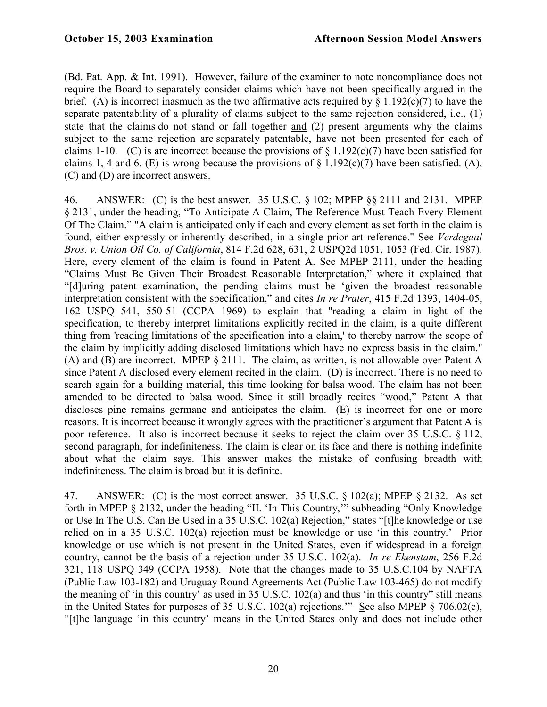(Bd. Pat. App. & Int. 1991). However, failure of the examiner to note noncompliance does not require the Board to separately consider claims which have not been specifically argued in the brief. (A) is incorrect inasmuch as the two affirmative acts required by  $\S 1.192(c)(7)$  to have the separate patentability of a plurality of claims subject to the same rejection considered, i.e., (1) state that the claims do not stand or fall together and (2) present arguments why the claims subject to the same rejection are separately patentable, have not been presented for each of claims 1-10. (C) is are incorrect because the provisions of  $\S$  1.192(c)(7) have been satisfied for claims 1, 4 and 6. (E) is wrong because the provisions of  $\S$  1.192(c)(7) have been satisfied. (A), (C) and (D) are incorrect answers.

46. ANSWER: (C) is the best answer. 35 U.S.C. § 102; MPEP §§ 2111 and 2131. MPEP § 2131, under the heading, "To Anticipate A Claim, The Reference Must Teach Every Element Of The Claim." "A claim is anticipated only if each and every element as set forth in the claim is found, either expressly or inherently described, in a single prior art reference." See *Verdegaal Bros. v. Union Oil Co. of California*, 814 F.2d 628, 631, 2 USPQ2d 1051, 1053 (Fed. Cir. 1987). Here, every element of the claim is found in Patent A. See MPEP 2111, under the heading "Claims Must Be Given Their Broadest Reasonable Interpretation," where it explained that "[d]uring patent examination, the pending claims must be 'given the broadest reasonable interpretation consistent with the specification," and cites *In re Prater*, 415 F.2d 1393, 1404-05, 162 USPQ 541, 550-51 (CCPA 1969) to explain that "reading a claim in light of the specification, to thereby interpret limitations explicitly recited in the claim, is a quite different thing from 'reading limitations of the specification into a claim,' to thereby narrow the scope of the claim by implicitly adding disclosed limitations which have no express basis in the claim." (A) and (B) are incorrect. MPEP § 2111. The claim, as written, is not allowable over Patent A since Patent A disclosed every element recited in the claim. (D) is incorrect. There is no need to search again for a building material, this time looking for balsa wood. The claim has not been amended to be directed to balsa wood. Since it still broadly recites "wood," Patent A that discloses pine remains germane and anticipates the claim. (E) is incorrect for one or more reasons. It is incorrect because it wrongly agrees with the practitioner's argument that Patent A is poor reference. It also is incorrect because it seeks to reject the claim over 35 U.S.C. § 112, second paragraph, for indefiniteness. The claim is clear on its face and there is nothing indefinite about what the claim says. This answer makes the mistake of confusing breadth with indefiniteness. The claim is broad but it is definite.

47. ANSWER: (C) is the most correct answer. 35 U.S.C. § 102(a); MPEP § 2132. As set forth in MPEP § 2132, under the heading "II. 'In This Country,'" subheading "Only Knowledge or Use In The U.S. Can Be Used in a 35 U.S.C. 102(a) Rejection," states "[t]he knowledge or use relied on in a 35 U.S.C. 102(a) rejection must be knowledge or use 'in this country.' Prior knowledge or use which is not present in the United States, even if widespread in a foreign country, cannot be the basis of a rejection under 35 U.S.C. 102(a). *In re Ekenstam*, 256 F.2d 321, 118 USPQ 349 (CCPA 1958). Note that the changes made to 35 U.S.C.104 by NAFTA (Public Law 103-182) and Uruguay Round Agreements Act (Public Law 103-465) do not modify the meaning of 'in this country' as used in 35 U.S.C. 102(a) and thus 'in this country" still means in the United States for purposes of 35 U.S.C. 102(a) rejections.'" See also MPEP § 706.02(c), "[t]he language 'in this country' means in the United States only and does not include other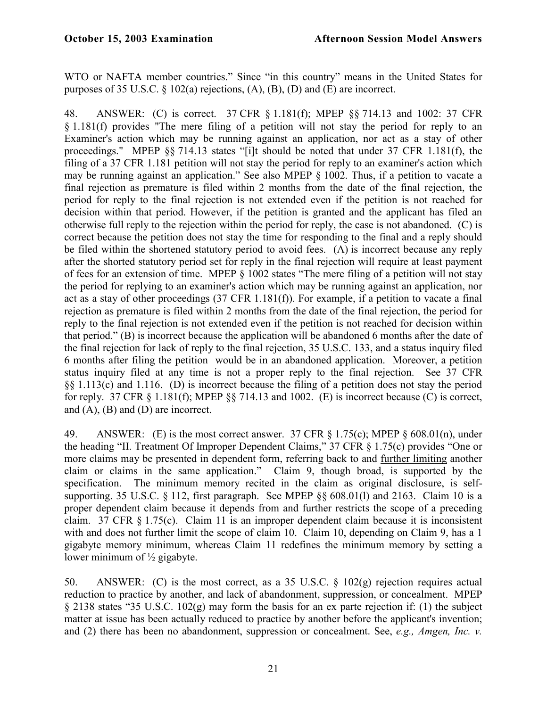WTO or NAFTA member countries." Since "in this country" means in the United States for purposes of 35 U.S.C.  $\&$  102(a) rejections, (A), (B), (D) and (E) are incorrect.

48. ANSWER: (C) is correct. 37 CFR § 1.181(f); MPEP §§ 714.13 and 1002: 37 CFR § 1.181(f) provides "The mere filing of a petition will not stay the period for reply to an Examiner's action which may be running against an application, nor act as a stay of other proceedings." MPEP §§ 714.13 states "[i]t should be noted that under 37 CFR 1.181(f), the filing of a 37 CFR 1.181 petition will not stay the period for reply to an examiner's action which may be running against an application." See also MPEP § 1002. Thus, if a petition to vacate a final rejection as premature is filed within 2 months from the date of the final rejection, the period for reply to the final rejection is not extended even if the petition is not reached for decision within that period. However, if the petition is granted and the applicant has filed an otherwise full reply to the rejection within the period for reply, the case is not abandoned. (C) is correct because the petition does not stay the time for responding to the final and a reply should be filed within the shortened statutory period to avoid fees. (A) is incorrect because any reply after the shorted statutory period set for reply in the final rejection will require at least payment of fees for an extension of time. MPEP § 1002 states "The mere filing of a petition will not stay the period for replying to an examiner's action which may be running against an application, nor act as a stay of other proceedings (37 CFR 1.181(f)). For example, if a petition to vacate a final rejection as premature is filed within 2 months from the date of the final rejection, the period for reply to the final rejection is not extended even if the petition is not reached for decision within that period." (B) is incorrect because the application will be abandoned 6 months after the date of the final rejection for lack of reply to the final rejection, 35 U.S.C. 133, and a status inquiry filed 6 months after filing the petition would be in an abandoned application. Moreover, a petition status inquiry filed at any time is not a proper reply to the final rejection. See 37 CFR §§ 1.113(c) and 1.116. (D) is incorrect because the filing of a petition does not stay the period for reply. 37 CFR  $\S$  1.181(f); MPEP  $\S$  $\S$  714.13 and 1002. (E) is incorrect because (C) is correct, and (A), (B) and (D) are incorrect.

49. ANSWER: (E) is the most correct answer. 37 CFR § 1.75(c); MPEP § 608.01(n), under the heading "II. Treatment Of Improper Dependent Claims," 37 CFR § 1.75(c) provides "One or more claims may be presented in dependent form, referring back to and further limiting another claim or claims in the same application." Claim 9, though broad, is supported by the specification. The minimum memory recited in the claim as original disclosure, is selfsupporting. 35 U.S.C. § 112, first paragraph. See MPEP §§ 608.01(l) and 2163. Claim 10 is a proper dependent claim because it depends from and further restricts the scope of a preceding claim. 37 CFR § 1.75(c). Claim 11 is an improper dependent claim because it is inconsistent with and does not further limit the scope of claim 10. Claim 10, depending on Claim 9, has a 1 gigabyte memory minimum, whereas Claim 11 redefines the minimum memory by setting a lower minimum of  $\frac{1}{2}$  gigabyte.

50. ANSWER: (C) is the most correct, as a 35 U.S.C. § 102(g) rejection requires actual reduction to practice by another, and lack of abandonment, suppression, or concealment. MPEP § 2138 states "35 U.S.C. 102(g) may form the basis for an ex parte rejection if: (1) the subject matter at issue has been actually reduced to practice by another before the applicant's invention; and (2) there has been no abandonment, suppression or concealment. See, *e.g., Amgen, Inc. v.*